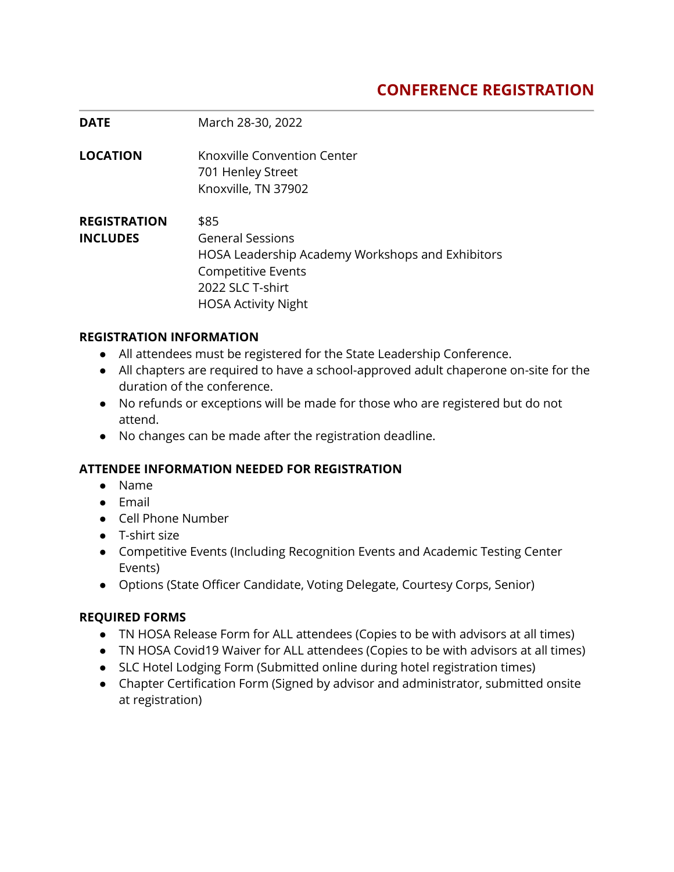## **CONFERENCE REGISTRATION**

| <b>DATE</b>                            | March 28-30, 2022                                                                                                                                                  |
|----------------------------------------|--------------------------------------------------------------------------------------------------------------------------------------------------------------------|
| <b>LOCATION</b>                        | Knoxville Convention Center<br>701 Henley Street<br>Knoxville, TN 37902                                                                                            |
| <b>REGISTRATION</b><br><b>INCLUDES</b> | \$85<br><b>General Sessions</b><br>HOSA Leadership Academy Workshops and Exhibitors<br><b>Competitive Events</b><br>2022 SLC T-shirt<br><b>HOSA Activity Night</b> |

#### **REGISTRATION INFORMATION**

- All attendees must be registered for the State Leadership Conference.
- All chapters are required to have a school-approved adult chaperone on-site for the duration of the conference.
- No refunds or exceptions will be made for those who are registered but do not attend.
- No changes can be made after the registration deadline.

## **ATTENDEE INFORMATION NEEDED FOR REGISTRATION**

- Name
- Email
- Cell Phone Number
- T-shirt size
- Competitive Events (Including Recognition Events and Academic Testing Center Events)
- Options (State Officer Candidate, Voting Delegate, Courtesy Corps, Senior)

## **REQUIRED FORMS**

- TN HOSA Release Form for ALL attendees (Copies to be with advisors at all times)
- TN HOSA Covid19 Waiver for ALL attendees (Copies to be with advisors at all times)
- SLC Hotel Lodging Form (Submitted online during hotel registration times)
- Chapter Certification Form (Signed by advisor and administrator, submitted onsite at registration)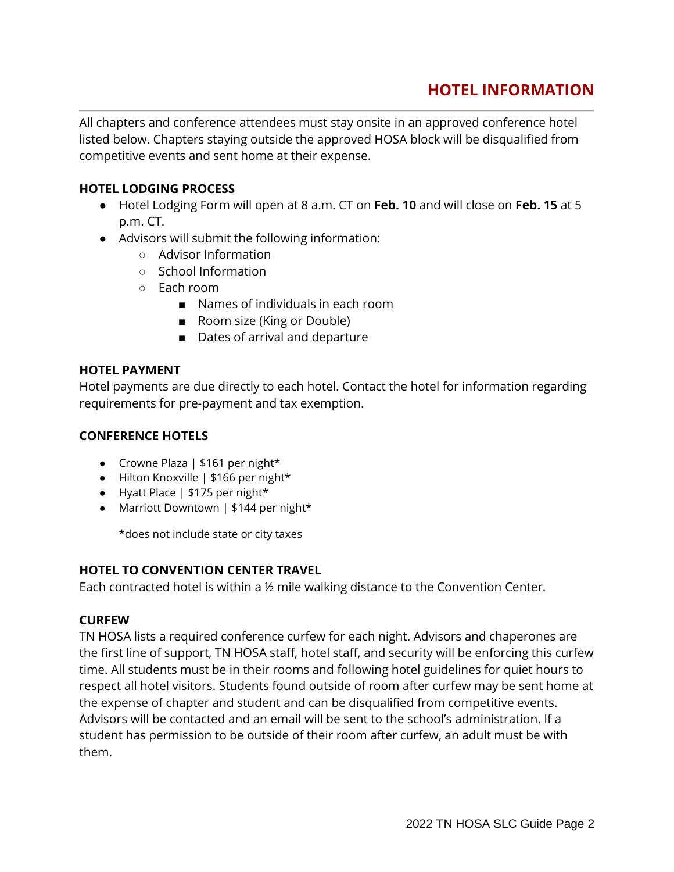## **HOTEL INFORMATION**

All chapters and conference attendees must stay onsite in an approved conference hotel listed below. Chapters staying outside the approved HOSA block will be disqualified from competitive events and sent home at their expense.

### **HOTEL LODGING PROCESS**

- Hotel Lodging Form will open at 8 a.m. CT on **Feb. 10** and will close on **Feb. 15** at 5 p.m. CT.
- Advisors will submit the following information:
	- Advisor Information
	- School Information
	- Each room
		- Names of individuals in each room
		- Room size (King or Double)
		- Dates of arrival and departure

#### **HOTEL PAYMENT**

Hotel payments are due directly to each hotel. Contact the hotel for information regarding requirements for pre-payment and tax exemption.

#### **CONFERENCE HOTELS**

- Crowne Plaza | \$161 per night\*
- Hilton Knoxville | \$166 per night\*
- Hyatt Place | \$175 per night\*
- Marriott Downtown | \$144 per night\*

\*does not include state or city taxes

#### **HOTEL TO CONVENTION CENTER TRAVEL**

Each contracted hotel is within a ½ mile walking distance to the Convention Center.

#### **CURFEW**

TN HOSA lists a required conference curfew for each night. Advisors and chaperones are the first line of support, TN HOSA staff, hotel staff, and security will be enforcing this curfew time. All students must be in their rooms and following hotel guidelines for quiet hours to respect all hotel visitors. Students found outside of room after curfew may be sent home at the expense of chapter and student and can be disqualified from competitive events. Advisors will be contacted and an email will be sent to the school's administration. If a student has permission to be outside of their room after curfew, an adult must be with them.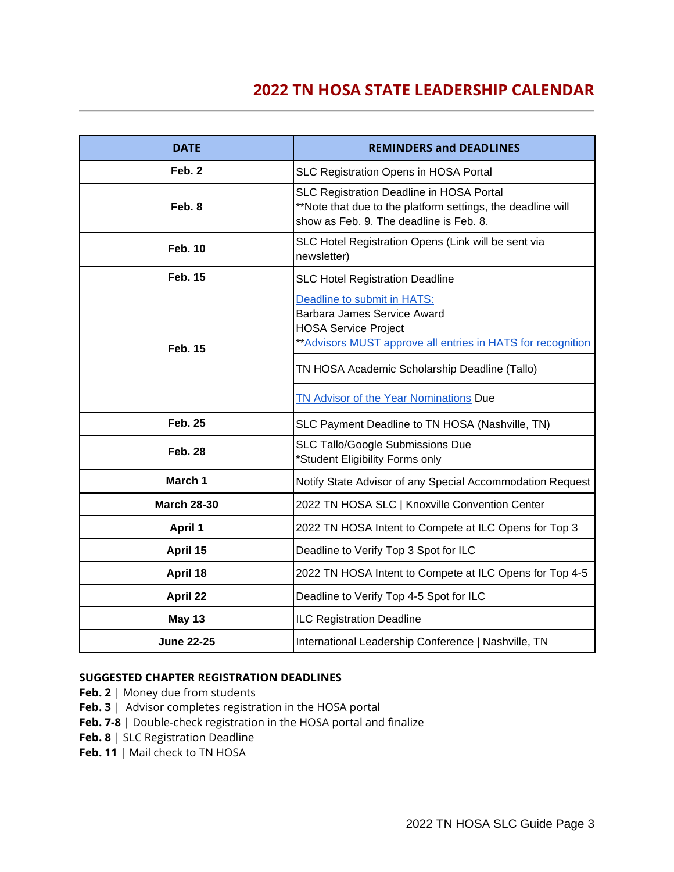## **2022 TN HOSA STATE LEADERSHIP CALENDAR**

| <b>DATE</b>        | <b>REMINDERS and DEADLINES</b>                                                                                                                                                                             |  |
|--------------------|------------------------------------------------------------------------------------------------------------------------------------------------------------------------------------------------------------|--|
| Feb. 2             | SLC Registration Opens in HOSA Portal                                                                                                                                                                      |  |
| Feb. 8             | SLC Registration Deadline in HOSA Portal<br>**Note that due to the platform settings, the deadline will<br>show as Feb. 9. The deadline is Feb. 8.                                                         |  |
| <b>Feb. 10</b>     | SLC Hotel Registration Opens (Link will be sent via<br>newsletter)                                                                                                                                         |  |
| <b>Feb. 15</b>     | <b>SLC Hotel Registration Deadline</b>                                                                                                                                                                     |  |
| <b>Feb. 15</b>     | Deadline to submit in HATS:<br>Barbara James Service Award<br><b>HOSA Service Project</b><br>** Advisors MUST approve all entries in HATS for recognition<br>TN HOSA Academic Scholarship Deadline (Tallo) |  |
|                    | <b>TN Advisor of the Year Nominations Due</b>                                                                                                                                                              |  |
| <b>Feb. 25</b>     | SLC Payment Deadline to TN HOSA (Nashville, TN)                                                                                                                                                            |  |
| <b>Feb. 28</b>     | <b>SLC Tallo/Google Submissions Due</b><br>*Student Eligibility Forms only                                                                                                                                 |  |
| March 1            | Notify State Advisor of any Special Accommodation Request                                                                                                                                                  |  |
| <b>March 28-30</b> | 2022 TN HOSA SLC   Knoxville Convention Center                                                                                                                                                             |  |
| <b>April 1</b>     | 2022 TN HOSA Intent to Compete at ILC Opens for Top 3                                                                                                                                                      |  |
| April 15           | Deadline to Verify Top 3 Spot for ILC                                                                                                                                                                      |  |
| April 18           | 2022 TN HOSA Intent to Compete at ILC Opens for Top 4-5                                                                                                                                                    |  |
| April 22           | Deadline to Verify Top 4-5 Spot for ILC                                                                                                                                                                    |  |
| <b>May 13</b>      | ILC Registration Deadline                                                                                                                                                                                  |  |
| <b>June 22-25</b>  | International Leadership Conference   Nashville, TN                                                                                                                                                        |  |

#### **SUGGESTED CHAPTER REGISTRATION DEADLINES**

- **Feb. 2** | Money due from students
- **Feb. 3** | Advisor completes registration in the HOSA portal
- **Feb. 7-8** | Double-check registration in the HOSA portal and finalize
- **Feb. 8** | SLC Registration Deadline
- **Feb. 11** | Mail check to TN HOSA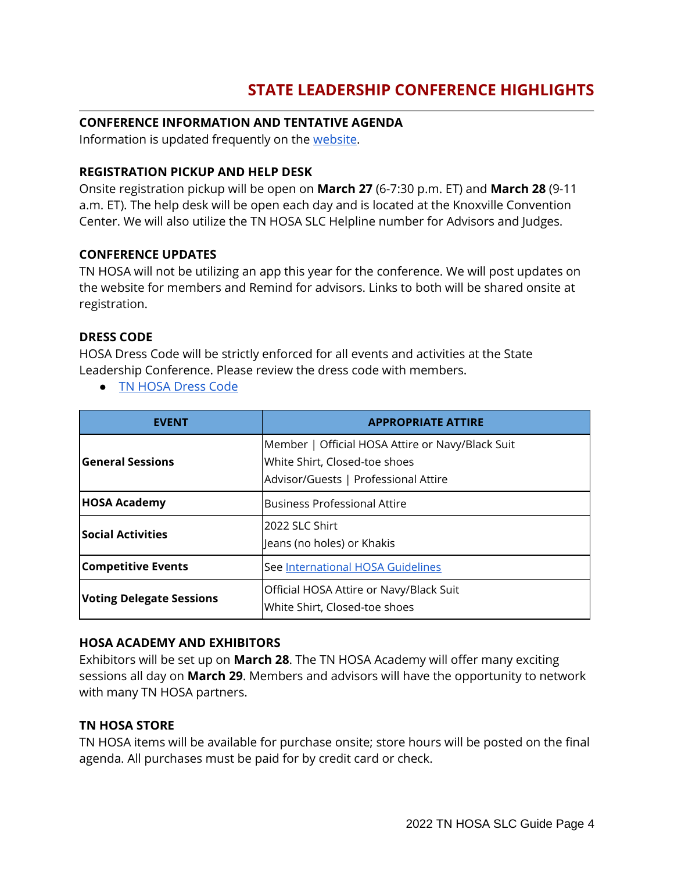## **STATE LEADERSHIP CONFERENCE HIGHLIGHTS**

### **CONFERENCE INFORMATION AND TENTATIVE AGENDA**

Information is updated frequently on the [website.](http://www.tennesseehosa.org/state-leadership-conference.html)

### **REGISTRATION PICKUP AND HELP DESK**

Onsite registration pickup will be open on **March 27** (6-7:30 p.m. ET) and **March 28** (9-11 a.m. ET). The help desk will be open each day and is located at the Knoxville Convention Center. We will also utilize the TN HOSA SLC Helpline number for Advisors and Judges.

#### **CONFERENCE UPDATES**

TN HOSA will not be utilizing an app this year for the conference. We will post updates on the website for members and Remind for advisors. Links to both will be shared onsite at registration.

#### **DRESS CODE**

HOSA Dress Code will be strictly enforced for all events and activities at the State Leadership Conference. Please review the dress code with members.

● [TN HOSA Dress Code](http://www.tennesseehosa.org/uploads/5/3/1/4/5314040/official_dress_code-hosa.pdf)

| <b>EVENT</b>                    | <b>APPROPRIATE ATTIRE</b>                                                                                                 |
|---------------------------------|---------------------------------------------------------------------------------------------------------------------------|
| <b>General Sessions</b>         | Member   Official HOSA Attire or Navy/Black Suit<br>White Shirt, Closed-toe shoes<br>Advisor/Guests   Professional Attire |
| <b>HOSA Academy</b>             | <b>Business Professional Attire</b>                                                                                       |
| <b>Social Activities</b>        | 2022 SLC Shirt<br>Jeans (no holes) or Khakis                                                                              |
| <b>Competitive Events</b>       | See International HOSA Guidelines                                                                                         |
| <b>Voting Delegate Sessions</b> | Official HOSA Attire or Navy/Black Suit<br>White Shirt, Closed-toe shoes                                                  |

#### **HOSA ACADEMY AND EXHIBITORS**

Exhibitors will be set up on **March 28**. The TN HOSA Academy will offer many exciting sessions all day on **March 29**. Members and advisors will have the opportunity to network with many TN HOSA partners.

#### **TN HOSA STORE**

TN HOSA items will be available for purchase onsite; store hours will be posted on the final agenda. All purchases must be paid for by credit card or check.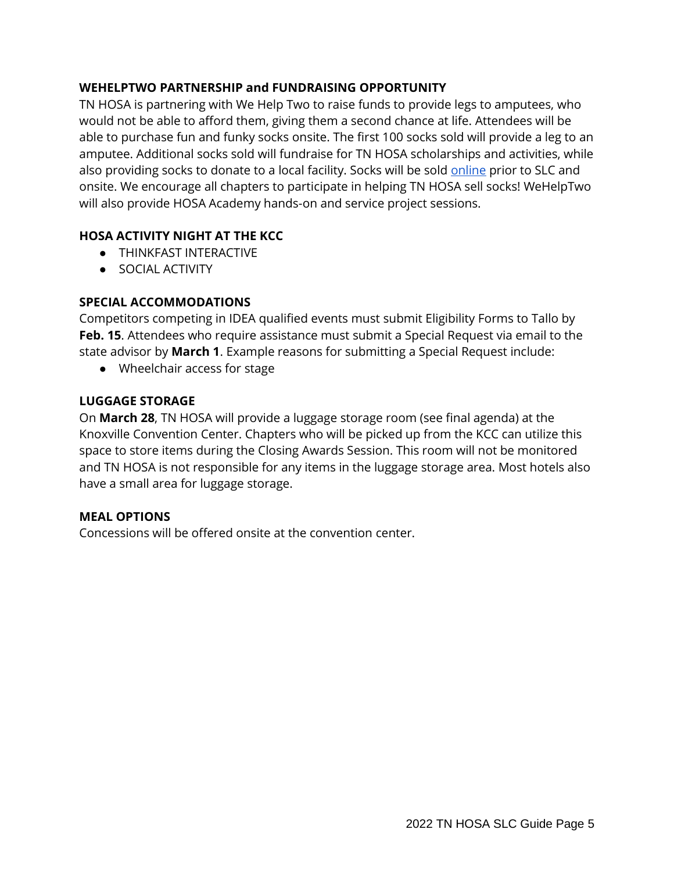## **WEHELPTWO PARTNERSHIP and FUNDRAISING OPPORTUNITY**

TN HOSA is partnering with We Help Two to raise funds to provide legs to amputees, who would not be able to afford them, giving them a second chance at life. Attendees will be able to purchase fun and funky socks onsite. The first 100 socks sold will provide a leg to an amputee. Additional socks sold will fundraise for TN HOSA scholarships and activities, while also providing socks to donate to a local facility. Socks will be sold [online](https://go.wehelptwo.com/campaign/?campaignid=15877) prior to SLC and onsite. We encourage all chapters to participate in helping TN HOSA sell socks! WeHelpTwo will also provide HOSA Academy hands-on and service project sessions.

## **HOSA ACTIVITY NIGHT AT THE KCC**

- **THINKFAST INTERACTIVE**
- SOCIAL ACTIVITY

## **SPECIAL ACCOMMODATIONS**

Competitors competing in IDEA qualified events must submit Eligibility Forms to Tallo by **Feb. 15**. Attendees who require assistance must submit a Special Request via email to the state advisor by **March 1**. Example reasons for submitting a Special Request include:

● Wheelchair access for stage

## **LUGGAGE STORAGE**

On **March 28**, TN HOSA will provide a luggage storage room (see final agenda) at the Knoxville Convention Center. Chapters who will be picked up from the KCC can utilize this space to store items during the Closing Awards Session. This room will not be monitored and TN HOSA is not responsible for any items in the luggage storage area. Most hotels also have a small area for luggage storage.

## **MEAL OPTIONS**

Concessions will be offered onsite at the convention center.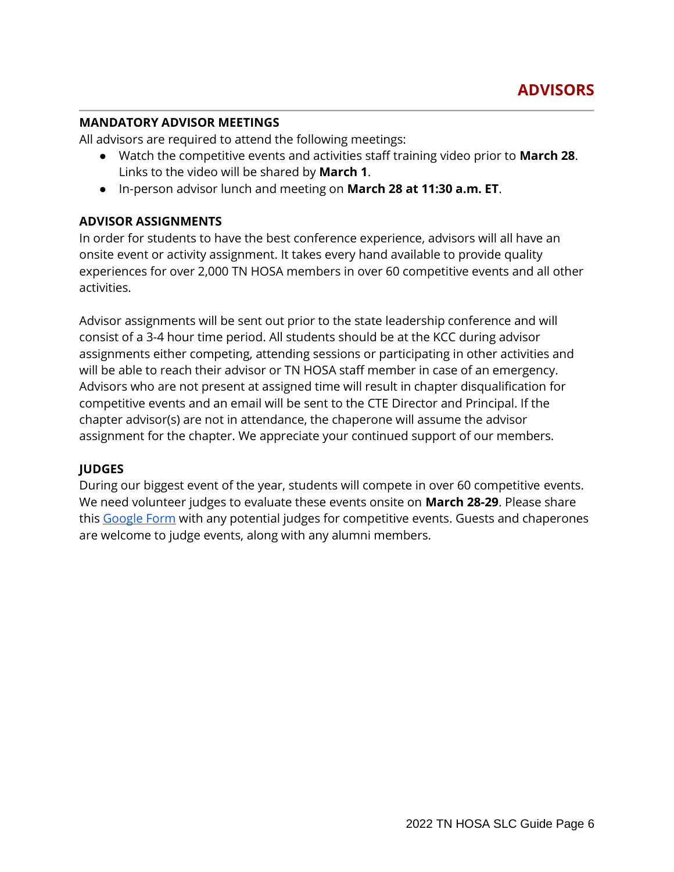### **MANDATORY ADVISOR MEETINGS**

All advisors are required to attend the following meetings:

- Watch the competitive events and activities staff training video prior to **March 28**. Links to the video will be shared by **March 1**.
- In-person advisor lunch and meeting on **March 28 at 11:30 a.m. ET**.

## **ADVISOR ASSIGNMENTS**

In order for students to have the best conference experience, advisors will all have an onsite event or activity assignment. It takes every hand available to provide quality experiences for over 2,000 TN HOSA members in over 60 competitive events and all other activities.

Advisor assignments will be sent out prior to the state leadership conference and will consist of a 3-4 hour time period. All students should be at the KCC during advisor assignments either competing, attending sessions or participating in other activities and will be able to reach their advisor or TN HOSA staff member in case of an emergency. Advisors who are not present at assigned time will result in chapter disqualification for competitive events and an email will be sent to the CTE Director and Principal. If the chapter advisor(s) are not in attendance, the chaperone will assume the advisor assignment for the chapter. We appreciate your continued support of our members.

## **JUDGES**

During our biggest event of the year, students will compete in over 60 competitive events. We need volunteer judges to evaluate these events onsite on **March 28-29**. Please share this [Google Form](https://urldefense.com/v3/__https:/forms.gle/S1Zx2TJKv7wAoeN87__;!!PRtDf9A!7O-0QluqyV18Km1jQ8qAEyt-hDFcV7-x94oGD3zFfE3LrHXjQ74DFH6KCNmnwdDr9npB$) with any potential judges for competitive events. Guests and chaperones are welcome to judge events, along with any alumni members.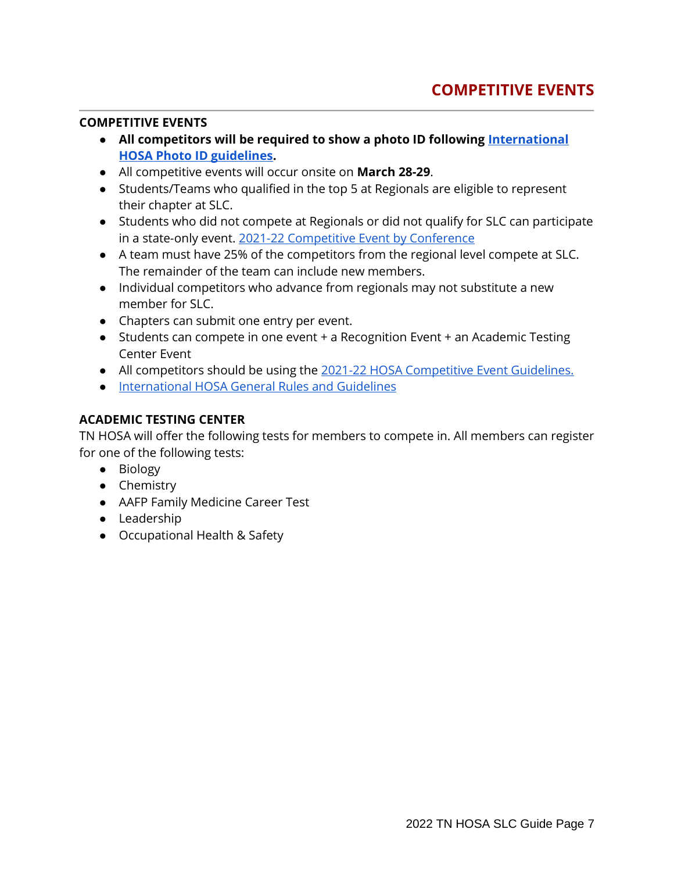### **COMPETITIVE EVENTS**

- **All competitors will be required to show a photo ID following [International](https://hosa.org/wp-content/uploads/2021/07/HOSA-APPENDIX-G-21-July26.pdf)  [HOSA Photo ID guidelines.](https://hosa.org/wp-content/uploads/2021/07/HOSA-APPENDIX-G-21-July26.pdf)**
- All competitive events will occur onsite on **March 28-29**.
- Students/Teams who qualified in the top 5 at Regionals are eligible to represent their chapter at SLC.
- Students who did not compete at Regionals or did not qualify for SLC can participate in a state-only event. [2021-22 Competitive Event by Conference](http://www.tennesseehosa.org/uploads/5/3/1/4/5314040/2021-22_tn_hosa_ce_by_conference__8.6.21_.pdf)
- A team must have 25% of the competitors from the regional level compete at SLC. The remainder of the team can include new members.
- Individual competitors who advance from regionals may not substitute a new member for SLC.
- Chapters can submit one entry per event.
- Students can compete in one event + a Recognition Event + an Academic Testing Center Event
- All competitors should be using the [2021-22 HOSA Competitive Event Guidelines.](https://hosa.org/guidelines/)
- [International HOSA General Rules and Guidelines](https://hosa.org/grr/)

## **ACADEMIC TESTING CENTER**

TN HOSA will offer the following tests for members to compete in. All members can register for one of the following tests:

- Biology
- Chemistry
- AAFP Family Medicine Career Test
- Leadership
- Occupational Health & Safety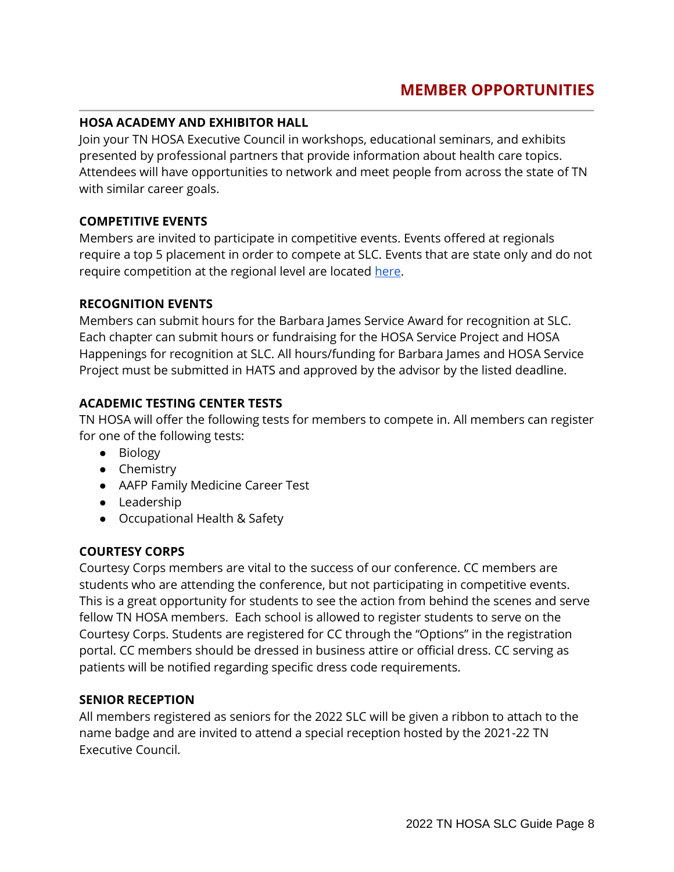### **HOSA ACADEMY AND EXHIBITOR HALL**

Join your TN HOSA Executive Council in workshops, educational seminars, and exhibits presented by professional partners that provide information about health care topics. Attendees will have opportunities to network and meet people from across the state of TN with similar career goals.

#### **COMPETITIVE EVENTS**

Members are invited to participate in competitive events. Events offered at regionals require a top 5 placement in order to compete at SLC. Events that are state only and do not require competition at the regional level are located [here.](http://www.tennesseehosa.org/uploads/5/3/1/4/5314040/2021-22_tn_hosa_ce_by_conference__8.6.21_.pdf)

#### **RECOGNITION EVENTS**

Members can submit hours for the Barbara James Service Award for recognition at SLC. Each chapter can submit hours or fundraising for the HOSA Service Project and HOSA Happenings for recognition at SLC. All hours/funding for Barbara James and HOSA Service Project must be submitted in HATS and approved by the advisor by the listed deadline.

## **ACADEMIC TESTING CENTER TESTS**

TN HOSA will offer the following tests for members to compete in. All members can register for one of the following tests:

- Biology
- Chemistry
- AAFP Family Medicine Career Test
- Leadership
- Occupational Health & Safety

## **COURTESY CORPS**

Courtesy Corps members are vital to the success of our conference. CC members are students who are attending the conference, but not participating in competitive events. This is a great opportunity for students to see the action from behind the scenes and serve fellow TN HOSA members. Each school is allowed to register students to serve on the Courtesy Corps. Students are registered for CC through the "Options" in the registration portal. CC members should be dressed in business attire or official dress. CC serving as patients will be notified regarding specific dress code requirements.

#### **SENIOR RECEPTION**

All members registered as seniors for the 2022 SLC will be given a ribbon to attach to the name badge and are invited to attend a special reception hosted by the 2021-22 TN Executive Council.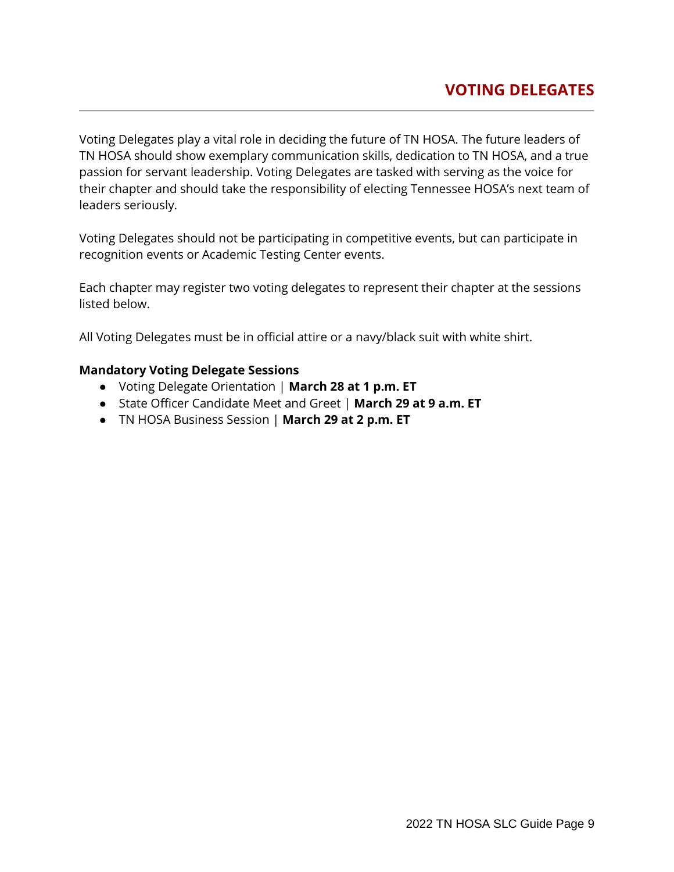Voting Delegates play a vital role in deciding the future of TN HOSA. The future leaders of TN HOSA should show exemplary communication skills, dedication to TN HOSA, and a true passion for servant leadership. Voting Delegates are tasked with serving as the voice for their chapter and should take the responsibility of electing Tennessee HOSA's next team of leaders seriously.

Voting Delegates should not be participating in competitive events, but can participate in recognition events or Academic Testing Center events.

Each chapter may register two voting delegates to represent their chapter at the sessions listed below.

All Voting Delegates must be in official attire or a navy/black suit with white shirt.

#### **Mandatory Voting Delegate Sessions**

- Voting Delegate Orientation | **March 28 at 1 p.m. ET**
- State Officer Candidate Meet and Greet | **March 29 at 9 a.m. ET**
- TN HOSA Business Session | **March 29 at 2 p.m. ET**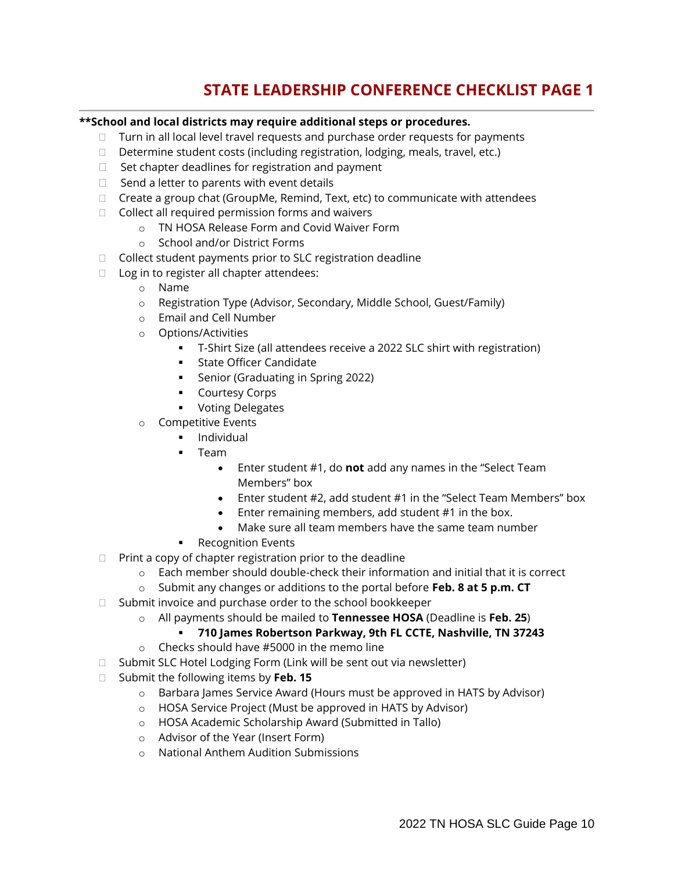# **STATE LEADERSHIP CONFERENCE CHECKLIST PAGE 1**

#### **\*\*School and local districts may require additional steps or procedures.**

- $\Box$  Turn in all local level travel requests and purchase order requests for payments
- $\Box$  Determine student costs (including registration, lodging, meals, travel, etc.)
- $\Box$  Set chapter deadlines for registration and payment
- $\Box$  Send a letter to parents with event details
- $\Box$  Create a group chat (GroupMe, Remind, Text, etc) to communicate with attendees
- $\Box$  Collect all required permission forms and waivers
	- o TN HOSA Release Form and Covid Waiver Form
	- o School and/or District Forms
- □ Collect student payments prior to SLC registration deadline
- □ Log in to register all chapter attendees:
	- o Name
	- o Registration Type (Advisor, Secondary, Middle School, Guest/Family)
	- o Email and Cell Number
	- o Options/Activities
		- T-Shirt Size (all attendees receive a 2022 SLC shirt with registration)
		- State Officer Candidate
		- Senior (Graduating in Spring 2022)
		- Courtesy Corps
		- Voting Delegates
	- o Competitive Events
		- Individual
		- **Team** 
			- Enter student #1, do **not** add any names in the "Select Team Members" box
			- Enter student #2, add student #1 in the "Select Team Members" box
			- Enter remaining members, add student #1 in the box.
			- Make sure all team members have the same team number
		- Recognition Events
- $\Box$  Print a copy of chapter registration prior to the deadline
	- $\circ$  Each member should double-check their information and initial that it is correct
	- o Submit any changes or additions to the portal before **Feb. 8 at 5 p.m. CT**
- $\Box$  Submit invoice and purchase order to the school bookkeeper
	- o All payments should be mailed to **Tennessee HOSA** (Deadline is **Feb. 25**)
		- **710 James Robertson Parkway, 9th FL CCTE, Nashville, TN 37243**
	- o Checks should have #5000 in the memo line
- $\Box$  Submit SLC Hotel Lodging Form (Link will be sent out via newsletter)
- □ Submit the following items by **Feb. 15** 
	- o Barbara James Service Award (Hours must be approved in HATS by Advisor)
	- o HOSA Service Project (Must be approved in HATS by Advisor)
	- o HOSA Academic Scholarship Award (Submitted in Tallo)
	- o Advisor of the Year (Insert Form)
	- o National Anthem Audition Submissions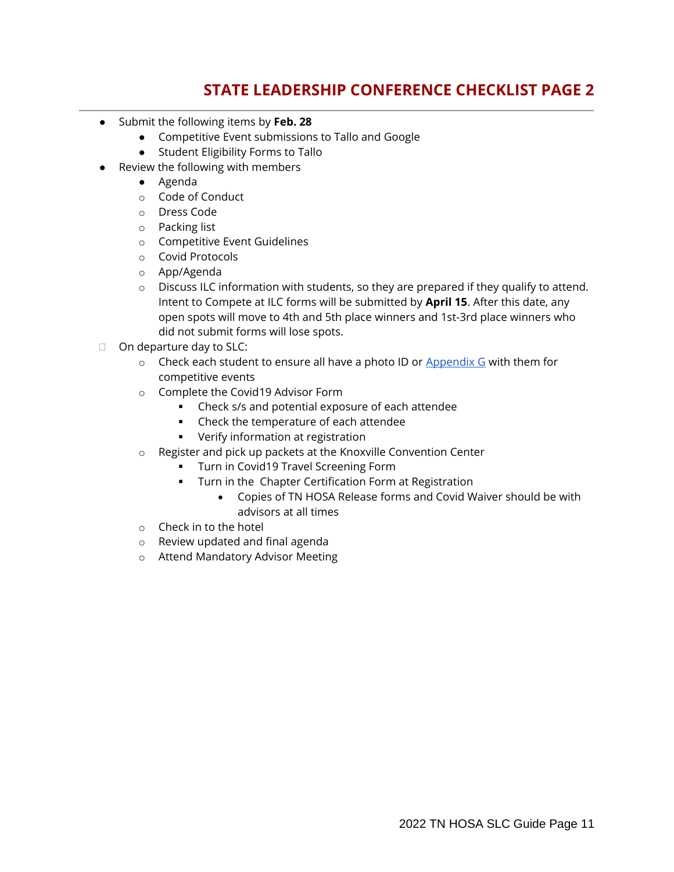## **STATE LEADERSHIP CONFERENCE CHECKLIST PAGE 2**

- Submit the following items by **Feb. 28**
	- Competitive Event submissions to Tallo and Google
	- Student Eligibility Forms to Tallo
- Review the following with members
	- Agenda
	- o Code of Conduct
	- o Dress Code
	- o Packing list
	- o Competitive Event Guidelines
	- o Covid Protocols
	- o App/Agenda
	- $\circ$  Discuss ILC information with students, so they are prepared if they qualify to attend. Intent to Compete at ILC forms will be submitted by **April 15**. After this date, any open spots will move to 4th and 5th place winners and 1st-3rd place winners who did not submit forms will lose spots.
- $\Box$  On departure day to SLC:
	- $\circ$  Check each student to ensure all have a photo ID or  $\Delta p$  and  $\alpha$  G with them for competitive events
	- o Complete the Covid19 Advisor Form
		- Check s/s and potential exposure of each attendee
		- Check the temperature of each attendee
		- Verify information at registration
	- o Register and pick up packets at the Knoxville Convention Center
		- **•** Turn in Covid19 Travel Screening Form
		- **•** Turn in the Chapter Certification Form at Registration
			- Copies of TN HOSA Release forms and Covid Waiver should be with advisors at all times
	- o Check in to the hotel
	- o Review updated and final agenda
	- o Attend Mandatory Advisor Meeting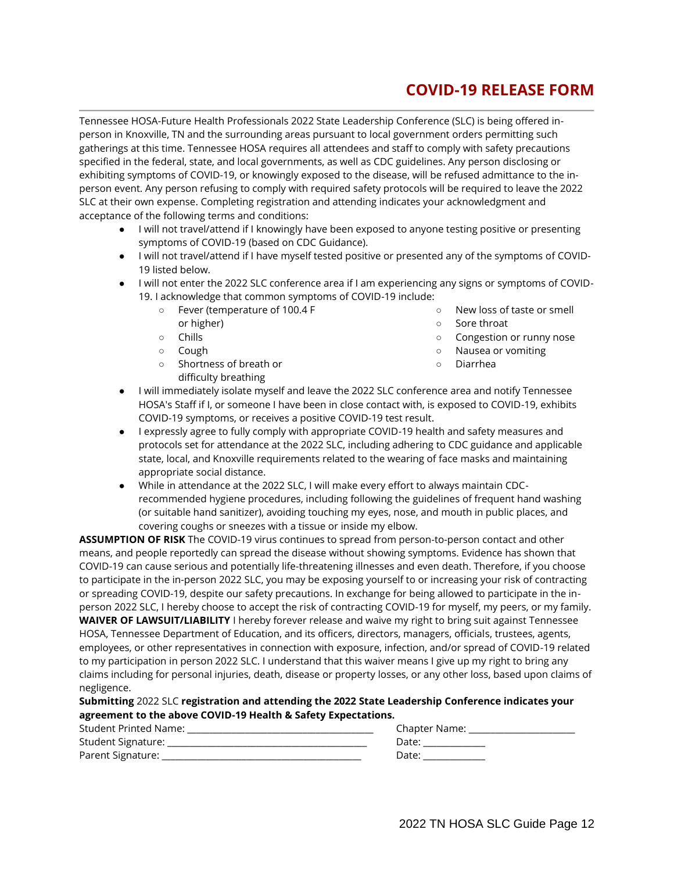## **COVID-19 RELEASE FORM**

Tennessee HOSA-Future Health Professionals 2022 State Leadership Conference (SLC) is being offered inperson in Knoxville, TN and the surrounding areas pursuant to local government orders permitting such gatherings at this time. Tennessee HOSA requires all attendees and staff to comply with safety precautions specified in the federal, state, and local governments, as well as CDC guidelines. Any person disclosing or exhibiting symptoms of COVID-19, or knowingly exposed to the disease, will be refused admittance to the inperson event. Any person refusing to comply with required safety protocols will be required to leave the 2022 SLC at their own expense. Completing registration and attending indicates your acknowledgment and acceptance of the following terms and conditions:

- I will not travel/attend if I knowingly have been exposed to anyone testing positive or presenting symptoms of COVID-19 (based on CDC Guidance).
- I will not travel/attend if I have myself tested positive or presented any of the symptoms of COVID-19 listed below.
- I will not enter the 2022 SLC conference area if I am experiencing any signs or symptoms of COVID-19. I acknowledge that common symptoms of COVID-19 include:
	- Fever (temperature of 100.4 F or higher) ○ New loss of taste or smell ○ Sore throat
		- Congestion or runny nose
		- Nausea or vomiting

○ Cough ○ Shortness of breath or difficulty breathing

○ Chills

- Diarrhea
- I will immediately isolate myself and leave the 2022 SLC conference area and notify Tennessee HOSA's Staff if I, or someone I have been in close contact with, is exposed to COVID-19, exhibits COVID-19 symptoms, or receives a positive COVID-19 test result.
- I expressly agree to fully comply with appropriate COVID-19 health and safety measures and protocols set for attendance at the 2022 SLC, including adhering to CDC guidance and applicable state, local, and Knoxville requirements related to the wearing of face masks and maintaining appropriate social distance.
- While in attendance at the 2022 SLC, I will make every effort to always maintain CDCrecommended hygiene procedures, including following the guidelines of frequent hand washing (or suitable hand sanitizer), avoiding touching my eyes, nose, and mouth in public places, and covering coughs or sneezes with a tissue or inside my elbow.

**ASSUMPTION OF RISK** The COVID-19 virus continues to spread from person-to-person contact and other means, and people reportedly can spread the disease without showing symptoms. Evidence has shown that COVID-19 can cause serious and potentially life-threatening illnesses and even death. Therefore, if you choose to participate in the in-person 2022 SLC, you may be exposing yourself to or increasing your risk of contracting or spreading COVID-19, despite our safety precautions. In exchange for being allowed to participate in the inperson 2022 SLC, I hereby choose to accept the risk of contracting COVID-19 for myself, my peers, or my family. **WAIVER OF LAWSUIT/LIABILITY** I hereby forever release and waive my right to bring suit against Tennessee HOSA, Tennessee Department of Education, and its officers, directors, managers, officials, trustees, agents, employees, or other representatives in connection with exposure, infection, and/or spread of COVID-19 related to my participation in person 2022 SLC. I understand that this waiver means I give up my right to bring any claims including for personal injuries, death, disease or property losses, or any other loss, based upon claims of negligence.

#### **Submitting** 2022 SLC **registration and attending the 2022 State Leadership Conference indicates your agreement to the above COVID-19 Health & Safety Expectations.**

| <b>Student Printed Name:</b> | <b>Chapter Name:</b> |
|------------------------------|----------------------|
| Student Signature:           | Date:                |
| Parent Signature:            | Date:                |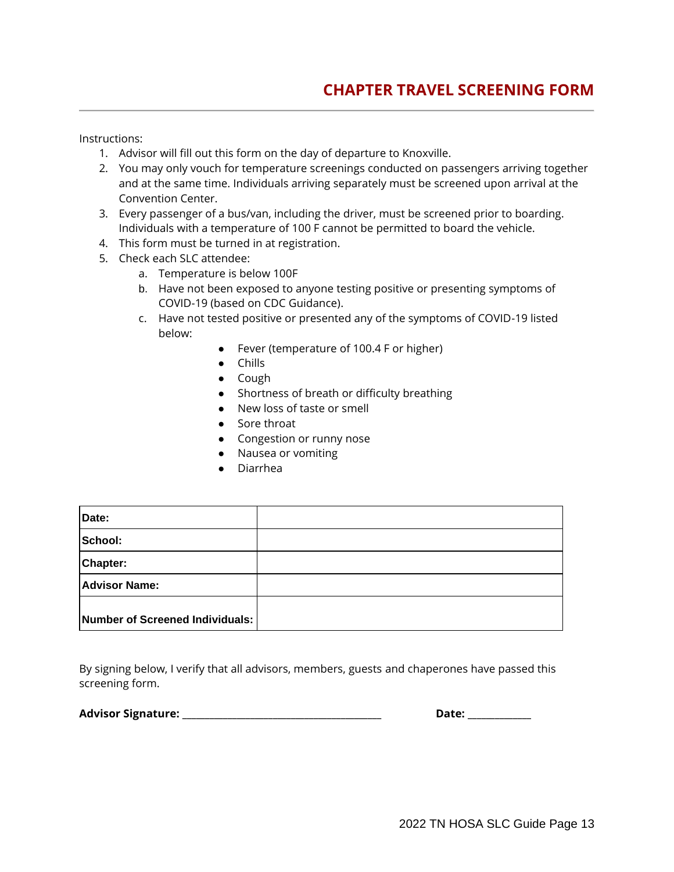Instructions:

- 1. Advisor will fill out this form on the day of departure to Knoxville.
- 2. You may only vouch for temperature screenings conducted on passengers arriving together and at the same time. Individuals arriving separately must be screened upon arrival at the Convention Center.
- 3. Every passenger of a bus/van, including the driver, must be screened prior to boarding. Individuals with a temperature of 100 F cannot be permitted to board the vehicle.
- 4. This form must be turned in at registration.
- 5. Check each SLC attendee:
	- a. Temperature is below 100F
	- b. Have not been exposed to anyone testing positive or presenting symptoms of COVID-19 (based on CDC Guidance).
	- c. Have not tested positive or presented any of the symptoms of COVID-19 listed below:
		- Fever (temperature of 100.4 F or higher)
		- Chills
		- Cough
		- Shortness of breath or difficulty breathing
		- New loss of taste or smell
		- Sore throat
		- Congestion or runny nose
		- Nausea or vomiting
		- Diarrhea

| Date:                           |  |
|---------------------------------|--|
| School:                         |  |
| <b>Chapter:</b>                 |  |
| <b>Advisor Name:</b>            |  |
| Number of Screened Individuals: |  |

By signing below, I verify that all advisors, members, guests and chaperones have passed this screening form.

**Advisor Signature: \_\_\_\_\_\_\_\_\_\_\_\_\_\_\_\_\_\_\_\_\_\_\_\_\_\_\_\_\_\_\_\_\_\_\_\_\_\_\_\_\_\_\_\_ Date: \_\_\_\_\_\_\_\_\_\_\_\_\_\_**

| Date: |  |  |  |
|-------|--|--|--|
|       |  |  |  |